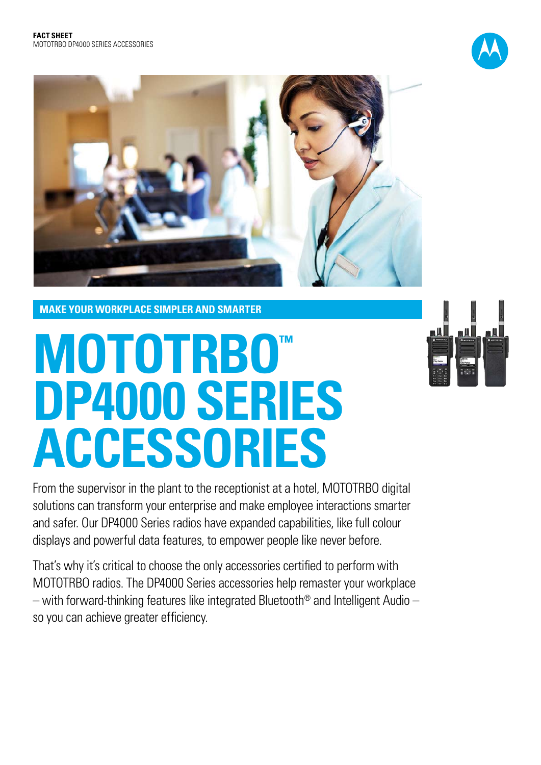



**MAKE YOUR WORKPLACE SIMPLER AND SMARTER**

# MOTOTRBO™ **DP4000 SERIES ACCESSORIES**

n 14 **11** 

From the supervisor in the plant to the receptionist at a hotel, MOTOTRBO digital solutions can transform your enterprise and make employee interactions smarter and safer. Our DP4000 Series radios have expanded capabilities, like full colour displays and powerful data features, to empower people like never before.

That's why it's critical to choose the only accessories certified to perform with MOTOTRBO radios. The DP4000 Series accessories help remaster your workplace – with forward-thinking features like integrated Bluetooth® and Intelligent Audio – so you can achieve greater efficiency.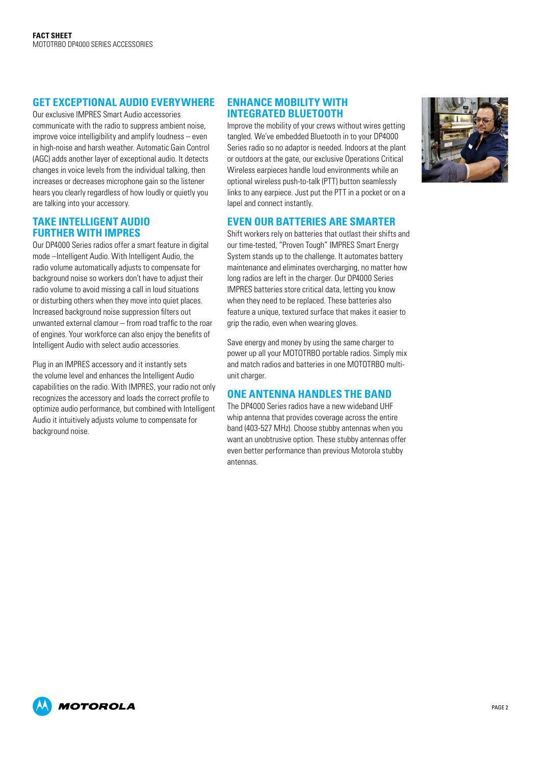# **GET EXCEPTIONAL AUDIO EVERYWHERE**

Our exclusive IMPRES Smart Audio accessories communicate with the radio to suppress ambient noise, improve voice intelligibility and amplify loudness – even in high-noise and harsh weather. Automatic Gain Control (AGC) adds another layer of exceptional audio. It detects changes in voice levels from the individual talking, then increases or decreases microphone gain so the listener hears you clearly regardless of how loudly or quietly you are talking into your accessory.

## **TAKE INTELLIGENT AUDIO FURTHER WITH IMPRES**

Our DP4000 Series radios offer a smart feature in digital mode –Intelligent Audio. With Intelligent Audio, the radio volume automatically adjusts to compensate for background noise so workers don't have to adjust their radio volume to avoid missing a call in loud situations or disturbing others when they move into quiet places. Increased background noise suppression filters out unwanted external clamour – from road traffic to the roar of engines. Your workforce can also enjoy the benefits of Intelligent Audio with select audio accessories.

Plug in an IMPRES accessory and it instantly sets the volume level and enhances the Intelligent Audio capabilities on the radio. With IMPRES, your radio not only recognizes the accessory and loads the correct profile to optimize audio performance, but combined with Intelligent Audio it intuitively adjusts volume to compensate for background noise.

## **ENHANCE MOBILITY WITH INTEGRATED BLUETOOTH**

Improve the mobility of your crews without wires getting tangled. We've embedded Bluetooth in to your DP4000 Series radio so no adaptor is needed. Indoors at the plant or outdoors at the gate, our exclusive Operations Critical Wireless earpieces handle loud environments while an optional wireless push-to-talk (PTT) button seamlessly links to any earpiece. Just put the PTT in a pocket or on a lapel and connect instantly.



# **EVEN OUR BATTERIES ARE SMARTER**

Shift workers rely on batteries that outlast their shifts and our time-tested, "Proven Tough" IMPRES Smart Energy System stands up to the challenge. It automates battery maintenance and eliminates overcharging, no matter how long radios are left in the charger. Our DP4000 Series IMPRES batteries store critical data, letting you know when they need to be replaced. These batteries also feature a unique, textured surface that makes it easier to grip the radio, even when wearing gloves.

Save energy and money by using the same charger to power up all your MOTOTRBO portable radios. Simply mix and match radios and batteries in one MOTOTRBO multiunit charger.

# **ONE ANTENNA HANDLES THE BAND**

The DP4000 Series radios have a new wideband UHF whip antenna that provides coverage across the entire band (403-527 MHz). Choose stubby antennas when you want an unobtrusive option. These stubby antennas offer even better performance than previous Motorola stubby antennas.

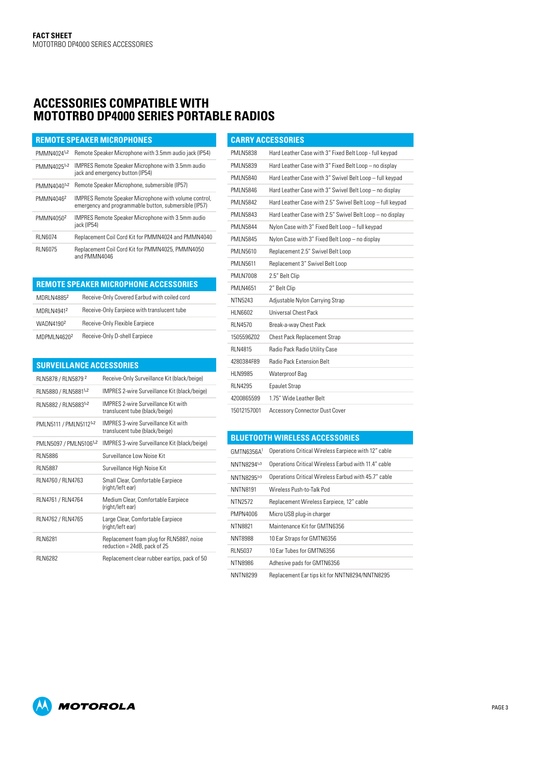# **Accessories compatible with MOTOTRBO DP4000 SERIES PORTABLE RADIOS**

| <b>REMOTE SPEAKER MICROPHONES</b> |                                                                                                                |  |
|-----------------------------------|----------------------------------------------------------------------------------------------------------------|--|
| PMMN40241,2                       | Remote Speaker Microphone with 3.5mm audio jack (IP54)                                                         |  |
| PMMN40251,2                       | <b>IMPRES Remote Speaker Microphone with 3.5mm audio</b><br>jack and emergency button (IP54)                   |  |
| PMMN40401,2                       | Remote Speaker Microphone, submersible (IP57)                                                                  |  |
| PMMN4046 <sup>2</sup>             | IMPRES Remote Speaker Microphone with volume control,<br>emergency and programmable button, submersible (IP57) |  |
| PMMN4050 <sup>2</sup>             | <b>IMPRES Remote Speaker Microphone with 3.5mm audio</b><br>jack (IP54)                                        |  |
| <b>RI N6074</b>                   | Replacement Coil Cord Kit for PMMN4024 and PMMN4040                                                            |  |
| <b>RIN6075</b>                    | Replacement Coil Cord Kit for PMMN4025, PMMN4050<br>and PMMN4046                                               |  |

|                       | <b>REMOTE SPEAKER MICROPHONE ACCESSORIES</b> |
|-----------------------|----------------------------------------------|
| MDRLN48852            | Receive-Only Covered Earbud with coiled cord |
| <b>MDRI N49412</b>    | Receive-Only Earpiece with translucent tube  |
| WADN4190 <sup>2</sup> | Receive-Only Flexible Earpiece               |
| MDPMLN46202           | Receive-Only D-shell Earpiece                |

| <b>SURVEILLANCE ACCESSORIES</b>    |                                                                              |
|------------------------------------|------------------------------------------------------------------------------|
| RLN5878 / RLN5879 <sup>2</sup>     | Receive-Only Surveillance Kit (black/beige)                                  |
| RLN5880 / RLN58811,2               | IMPRES 2-wire Surveillance Kit (black/beige)                                 |
| RLN5882 / RLN58831,2               | <b>IMPRES 2-wire Surveillance Kit with</b><br>translucent tube (black/beige) |
| PMLN5111 / PMLN5112 <sup>1,2</sup> | <b>IMPRES 3-wire Surveillance Kit with</b><br>translucent tube (black/beige) |
| PMLN5097 / PMLN51061,2             | IMPRES 3-wire Surveillance Kit (black/beige)                                 |
| <b>RI N5886</b>                    | Surveillance Low Noise Kit                                                   |
| <b>RIN5887</b>                     | Surveillance High Noise Kit                                                  |
| RLN4760 / RLN4763                  | Small Clear, Comfortable Earpiece<br>(right/left ear)                        |
| RLN4761 / RLN4764                  | Medium Clear, Comfortable Earpiece<br>(right/left ear)                       |
| RLN4762 / RLN4765                  | Large Clear, Comfortable Earpiece<br>(right/left ear)                        |
| <b>RI N6281</b>                    | Replacement foam plug for RLN5887, noise<br>reduction = 24dB, pack of 25     |
| <b>RI N6282</b>                    | Replacement clear rubber eartips, pack of 50                                 |

# **Carry Accessories** PMLN5838 Hard Leather Case with 3" Fixed Belt Loop - full keypad PMLN5839 Hard Leather Case with 3" Fixed Belt Loop – no display PMLN5840 Hard Leather Case with 3" Swivel Belt Loop – full keypad PMLN5846 Hard Leather Case with 3" Swivel Belt Loop – no display PMLN5842 Hard Leather Case with 2.5" Swivel Belt Loop – full keypad PMLN5843 Hard Leather Case with 2.5" Swivel Belt Loop – no display PMLN5844 Nylon Case with 3" Fixed Belt Loop – full keypad PMLN5845 Nylon Case with 3" Fixed Belt Loop – no display PMLN5610 Replacement 2.5" Swivel Belt Loop PMLN5611 Replacement 3" Swivel Belt Loop PMLN7008 2.5" Belt Clip PMLN4651 2" Belt Clip NTN5243 Adjustable Nylon Carrying Strap HLN6602 Universal Chest Pack RLN4570 Break-a-way Chest Pack 1505596Z02 Chest Pack Replacement Strap RLN4815 Radio Pack Radio Utility Case 4280384F89 Radio Pack Extension Belt HLN9985 Waterproof Bag RLN4295 Epaulet Strap 4200865599 1.75" Wide Leather Belt 15012157001 Accessory Connector Dust Cover

### **Bluetooth WIRELESS Accessories**

| GMTNG356A <sup>1</sup> | Operations Critical Wireless Earpiece with 12" cable |
|------------------------|------------------------------------------------------|
| NNTN82941,3            | Operations Critical Wireless Earbud with 11.4" cable |
| NNTN82951,3            | Operations Critical Wireless Earbud with 45.7" cable |
| <b>NNTN8191</b>        | Wireless Push-to-Talk Pod                            |
| NTN2572                | Replacement Wireless Earpiece, 12" cable             |
| PMPN4006               | Micro USB plug-in charger                            |
| NTN8821                | Maintenance Kit for GMTN6356                         |
| NNT8988                | 10 Ear Straps for GMTN6356                           |
| <b>RIN5037</b>         | 10 Far Tubes for GMTN6356                            |
| NTN8986                | Adhesive pads for GMTN6356                           |
| NNTN8299               | Replacement Ear tips kit for NNTN8294/NNTN8295       |